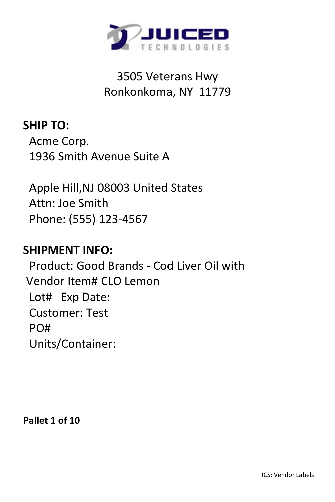

**SHIP TO:** Acme Corp. 1936 Smith Avenue Suite A

 Apple Hill,NJ 08003 United States Attn: Joe Smith Phone: (555) 123-4567

### **SHIPMENT INFO:**

 Product: Good Brands - Cod Liver Oil with Vendor Item# CLO Lemon Lot# Exp Date: Customer: Test PO# Units/Container:

**Pallet 1 of 10**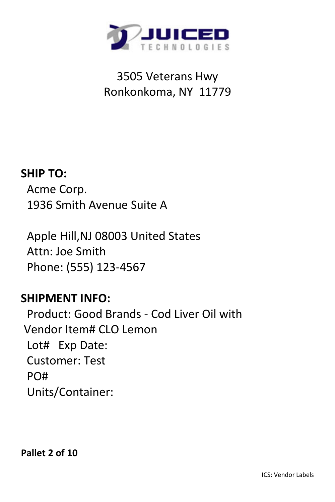

#### **SHIP TO:**

 Acme Corp. 1936 Smith Avenue Suite A

 Apple Hill,NJ 08003 United States Attn: Joe Smith Phone: (555) 123-4567

### **SHIPMENT INFO:**

 Product: Good Brands - Cod Liver Oil with Vendor Item# CLO Lemon Lot# Exp Date: Customer: Test PO# Units/Container: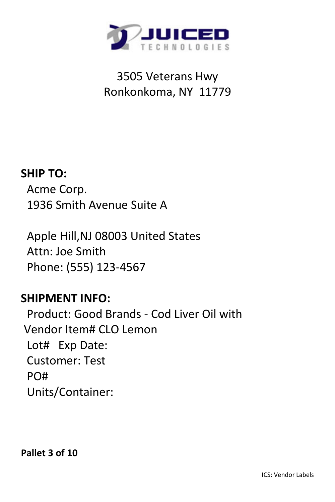

#### **SHIP TO:**

 Acme Corp. 1936 Smith Avenue Suite A

 Apple Hill,NJ 08003 United States Attn: Joe Smith Phone: (555) 123-4567

### **SHIPMENT INFO:**

 Product: Good Brands - Cod Liver Oil with Vendor Item# CLO Lemon Lot# Exp Date: Customer: Test PO# Units/Container: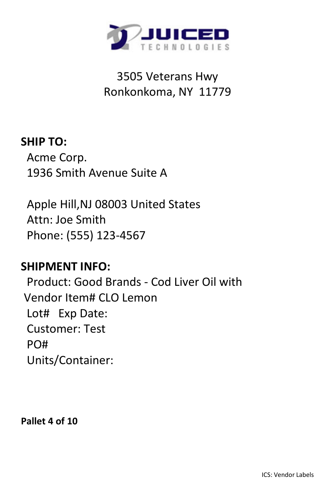

## **SHIP TO:** Acme Corp. 1936 Smith Avenue Suite A

 Apple Hill,NJ 08003 United States Attn: Joe Smith Phone: (555) 123-4567

### **SHIPMENT INFO:**

 Product: Good Brands - Cod Liver Oil with Vendor Item# CLO Lemon Lot# Exp Date: Customer: Test PO# Units/Container:

**Pallet 4 of 10**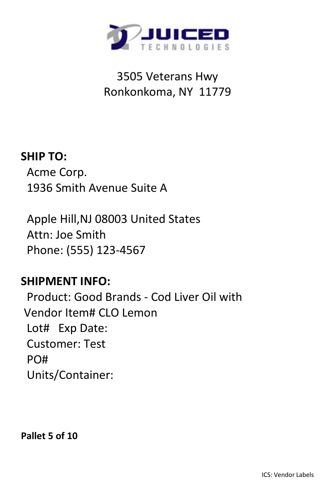

## **SHIP TO:** Acme Corp. 1936 Smith Avenue Suite A

 Apple Hill,NJ 08003 United States Attn: Joe Smith Phone: (555) 123-4567

### **SHIPMENT INFO:**

 Product: Good Brands - Cod Liver Oil with Vendor Item# CLO Lemon Lot# Exp Date: Customer: Test PO# Units/Container:

**Pallet 5 of 10**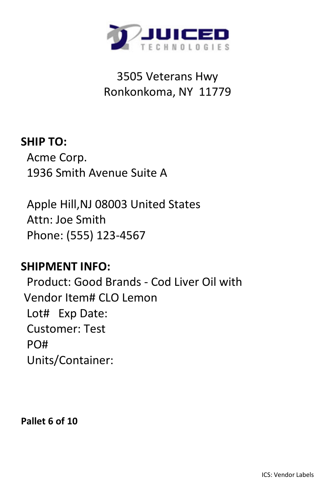

## **SHIP TO:** Acme Corp. 1936 Smith Avenue Suite A

 Apple Hill,NJ 08003 United States Attn: Joe Smith Phone: (555) 123-4567

### **SHIPMENT INFO:**

 Product: Good Brands - Cod Liver Oil with Vendor Item# CLO Lemon Lot# Exp Date: Customer: Test PO# Units/Container:

**Pallet 6 of 10**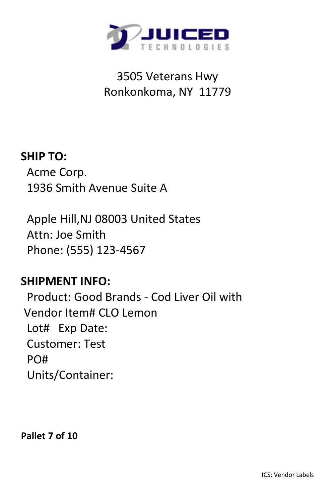

## **SHIP TO:** Acme Corp. 1936 Smith Avenue Suite A

 Apple Hill,NJ 08003 United States Attn: Joe Smith Phone: (555) 123-4567

### **SHIPMENT INFO:**

 Product: Good Brands - Cod Liver Oil with Vendor Item# CLO Lemon Lot# Exp Date: Customer: Test PO# Units/Container:

**Pallet 7 of 10**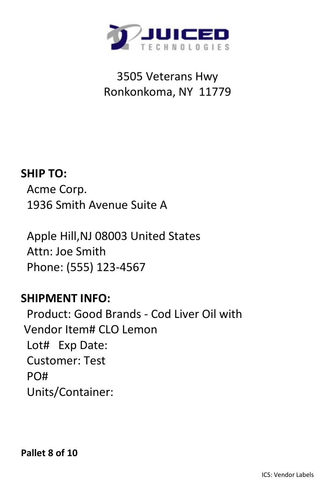

#### **SHIP TO:**

 Acme Corp. 1936 Smith Avenue Suite A

 Apple Hill,NJ 08003 United States Attn: Joe Smith Phone: (555) 123-4567

### **SHIPMENT INFO:**

 Product: Good Brands - Cod Liver Oil with Vendor Item# CLO Lemon Lot# Exp Date: Customer: Test PO# Units/Container:

**Pallet 8 of 10**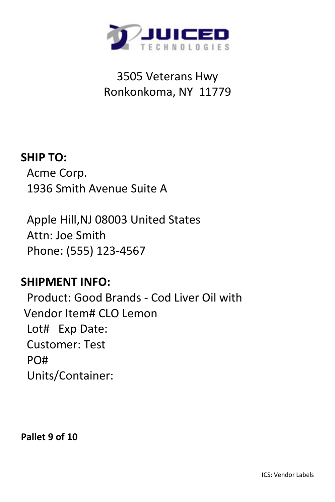

## **SHIP TO:** Acme Corp. 1936 Smith Avenue Suite A

 Apple Hill,NJ 08003 United States Attn: Joe Smith Phone: (555) 123-4567

### **SHIPMENT INFO:**

 Product: Good Brands - Cod Liver Oil with Vendor Item# CLO Lemon Lot# Exp Date: Customer: Test PO# Units/Container:

**Pallet 9 of 10**